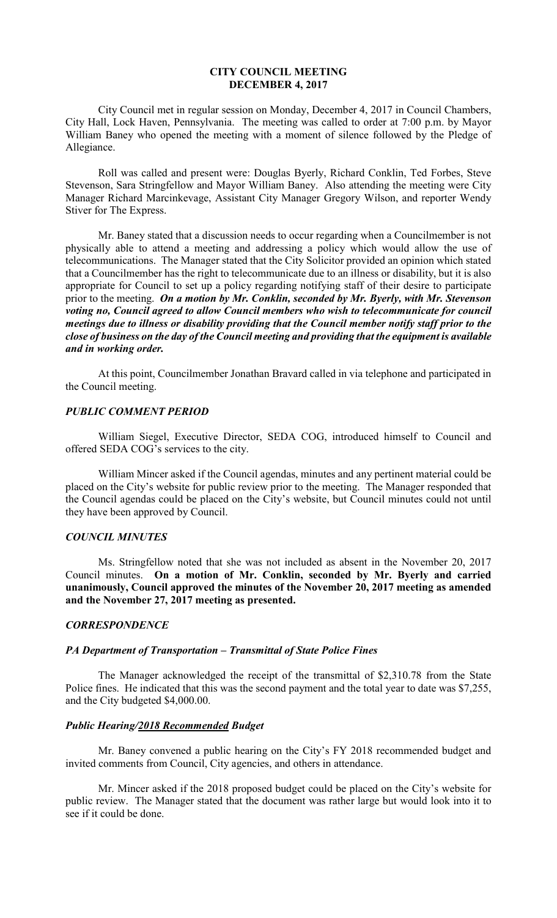### **CITY COUNCIL MEETING DECEMBER 4, 2017**

 City Council met in regular session on Monday, December 4, 2017 in Council Chambers, City Hall, Lock Haven, Pennsylvania. The meeting was called to order at 7:00 p.m. by Mayor William Baney who opened the meeting with a moment of silence followed by the Pledge of Allegiance.

 Roll was called and present were: Douglas Byerly, Richard Conklin, Ted Forbes, Steve Stevenson, Sara Stringfellow and Mayor William Baney. Also attending the meeting were City Manager Richard Marcinkevage, Assistant City Manager Gregory Wilson, and reporter Wendy Stiver for The Express.

Mr. Baney stated that a discussion needs to occur regarding when a Councilmember is not physically able to attend a meeting and addressing a policy which would allow the use of telecommunications. The Manager stated that the City Solicitor provided an opinion which stated that a Councilmember has the right to telecommunicate due to an illness or disability, but it is also appropriate for Council to set up a policy regarding notifying staff of their desire to participate prior to the meeting. *On a motion by Mr. Conklin, seconded by Mr. Byerly, with Mr. Stevenson voting no, Council agreed to allow Council members who wish to telecommunicate for council meetings due to illness or disability providing that the Council member notify staff prior to the close of business on the day of the Council meeting and providing that the equipment is available and in working order.* 

At this point, Councilmember Jonathan Bravard called in via telephone and participated in the Council meeting.

## *PUBLIC COMMENT PERIOD*

William Siegel, Executive Director, SEDA COG, introduced himself to Council and offered SEDA COG's services to the city.

 William Mincer asked if the Council agendas, minutes and any pertinent material could be placed on the City's website for public review prior to the meeting. The Manager responded that the Council agendas could be placed on the City's website, but Council minutes could not until they have been approved by Council.

#### *COUNCIL MINUTES*

 Ms. Stringfellow noted that she was not included as absent in the November 20, 2017 Council minutes. **On a motion of Mr. Conklin, seconded by Mr. Byerly and carried unanimously, Council approved the minutes of the November 20, 2017 meeting as amended and the November 27, 2017 meeting as presented.**

#### *CORRESPONDENCE*

#### *PA Department of Transportation – Transmittal of State Police Fines*

The Manager acknowledged the receipt of the transmittal of \$2,310.78 from the State Police fines. He indicated that this was the second payment and the total year to date was \$7,255, and the City budgeted \$4,000.00.

#### *Public Hearing/2018 Recommended Budget*

 Mr. Baney convened a public hearing on the City's FY 2018 recommended budget and invited comments from Council, City agencies, and others in attendance.

Mr. Mincer asked if the 2018 proposed budget could be placed on the City's website for public review. The Manager stated that the document was rather large but would look into it to see if it could be done.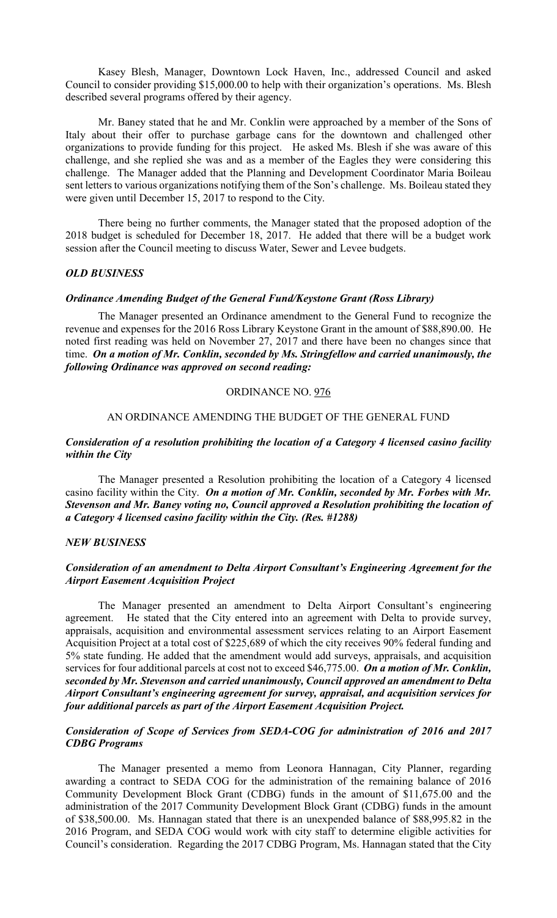Kasey Blesh, Manager, Downtown Lock Haven, Inc., addressed Council and asked Council to consider providing \$15,000.00 to help with their organization's operations. Ms. Blesh described several programs offered by their agency.

 Mr. Baney stated that he and Mr. Conklin were approached by a member of the Sons of Italy about their offer to purchase garbage cans for the downtown and challenged other organizations to provide funding for this project. He asked Ms. Blesh if she was aware of this challenge, and she replied she was and as a member of the Eagles they were considering this challenge. The Manager added that the Planning and Development Coordinator Maria Boileau sent letters to various organizations notifying them of the Son's challenge. Ms. Boileau stated they were given until December 15, 2017 to respond to the City.

 There being no further comments, the Manager stated that the proposed adoption of the 2018 budget is scheduled for December 18, 2017. He added that there will be a budget work session after the Council meeting to discuss Water, Sewer and Levee budgets.

#### *OLD BUSINESS*

### *Ordinance Amending Budget of the General Fund/Keystone Grant (Ross Library)*

The Manager presented an Ordinance amendment to the General Fund to recognize the revenue and expenses for the 2016 Ross Library Keystone Grant in the amount of \$88,890.00. He noted first reading was held on November 27, 2017 and there have been no changes since that time. *On a motion of Mr. Conklin, seconded by Ms. Stringfellow and carried unanimously, the following Ordinance was approved on second reading:*

### ORDINANCE NO. 976

# AN ORDINANCE AMENDING THE BUDGET OF THE GENERAL FUND

## *Consideration of a resolution prohibiting the location of a Category 4 licensed casino facility within the City*

 The Manager presented a Resolution prohibiting the location of a Category 4 licensed casino facility within the City. *On a motion of Mr. Conklin, seconded by Mr. Forbes with Mr. Stevenson and Mr. Baney voting no, Council approved a Resolution prohibiting the location of a Category 4 licensed casino facility within the City. (Res. #1288)*

#### *NEW BUSINESS*

# *Consideration of an amendment to Delta Airport Consultant's Engineering Agreement for the Airport Easement Acquisition Project*

 The Manager presented an amendment to Delta Airport Consultant's engineering agreement. He stated that the City entered into an agreement with Delta to provide survey, appraisals, acquisition and environmental assessment services relating to an Airport Easement Acquisition Project at a total cost of \$225,689 of which the city receives 90% federal funding and 5% state funding. He added that the amendment would add surveys, appraisals, and acquisition services for four additional parcels at cost not to exceed \$46,775.00. *On a motion of Mr. Conklin, seconded by Mr. Stevenson and carried unanimously, Council approved an amendment to Delta Airport Consultant's engineering agreement for survey, appraisal, and acquisition services for four additional parcels as part of the Airport Easement Acquisition Project.* 

### *Consideration of Scope of Services from SEDA-COG for administration of 2016 and 2017 CDBG Programs*

The Manager presented a memo from Leonora Hannagan, City Planner, regarding awarding a contract to SEDA COG for the administration of the remaining balance of 2016 Community Development Block Grant (CDBG) funds in the amount of \$11,675.00 and the administration of the 2017 Community Development Block Grant (CDBG) funds in the amount of \$38,500.00. Ms. Hannagan stated that there is an unexpended balance of \$88,995.82 in the 2016 Program, and SEDA COG would work with city staff to determine eligible activities for Council's consideration. Regarding the 2017 CDBG Program, Ms. Hannagan stated that the City